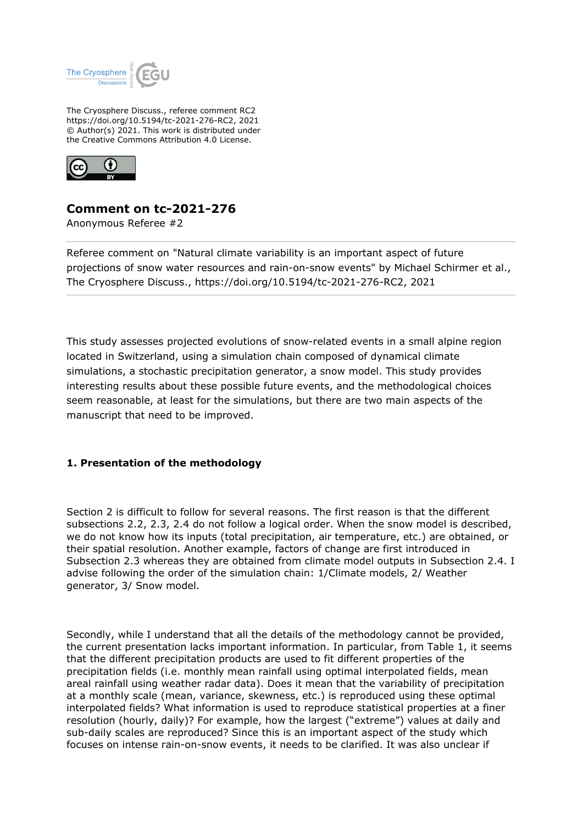

The Cryosphere Discuss., referee comment RC2 https://doi.org/10.5194/tc-2021-276-RC2, 2021 © Author(s) 2021. This work is distributed under the Creative Commons Attribution 4.0 License.



# **Comment on tc-2021-276**

Anonymous Referee #2

Referee comment on "Natural climate variability is an important aspect of future projections of snow water resources and rain-on-snow events" by Michael Schirmer et al., The Cryosphere Discuss., https://doi.org/10.5194/tc-2021-276-RC2, 2021

This study assesses projected evolutions of snow-related events in a small alpine region located in Switzerland, using a simulation chain composed of dynamical climate simulations, a stochastic precipitation generator, a snow model. This study provides interesting results about these possible future events, and the methodological choices seem reasonable, at least for the simulations, but there are two main aspects of the manuscript that need to be improved.

## **1. Presentation of the methodology**

Section 2 is difficult to follow for several reasons. The first reason is that the different subsections 2.2, 2.3, 2.4 do not follow a logical order. When the snow model is described, we do not know how its inputs (total precipitation, air temperature, etc.) are obtained, or their spatial resolution. Another example, factors of change are first introduced in Subsection 2.3 whereas they are obtained from climate model outputs in Subsection 2.4. I advise following the order of the simulation chain: 1/Climate models, 2/ Weather generator, 3/ Snow model.

Secondly, while I understand that all the details of the methodology cannot be provided, the current presentation lacks important information. In particular, from Table 1, it seems that the different precipitation products are used to fit different properties of the precipitation fields (i.e. monthly mean rainfall using optimal interpolated fields, mean areal rainfall using weather radar data). Does it mean that the variability of precipitation at a monthly scale (mean, variance, skewness, etc.) is reproduced using these optimal interpolated fields? What information is used to reproduce statistical properties at a finer resolution (hourly, daily)? For example, how the largest ("extreme") values at daily and sub-daily scales are reproduced? Since this is an important aspect of the study which focuses on intense rain-on-snow events, it needs to be clarified. It was also unclear if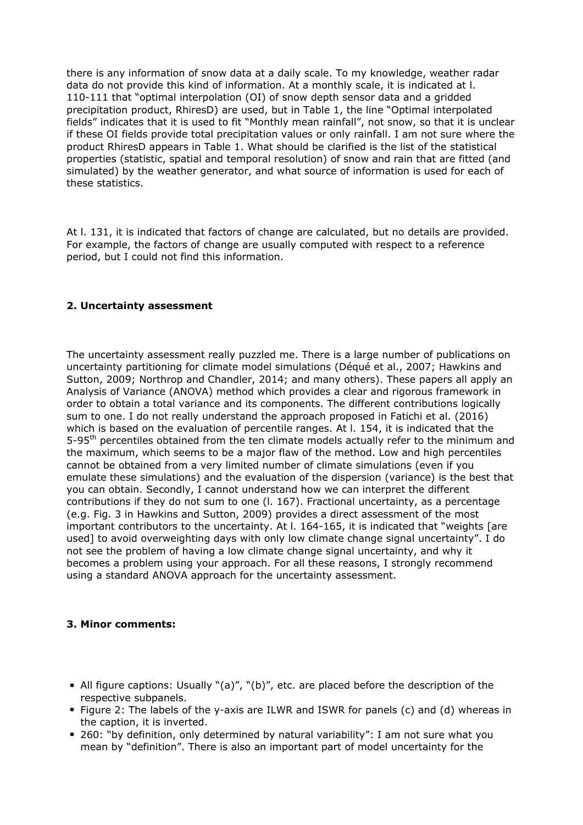there is any information of snow data at a daily scale. To my knowledge, weather radar data do not provide this kind of information. At a monthly scale, it is indicated at l. 110-111 that "optimal interpolation (OI) of snow depth sensor data and a gridded precipitation product, RhiresD) are used, but in Table 1, the line "Optimal interpolated fields" indicates that it is used to fit "Monthly mean rainfall", not snow, so that it is unclear if these OI fields provide total precipitation values or only rainfall. I am not sure where the product RhiresD appears in Table 1. What should be clarified is the list of the statistical properties (statistic, spatial and temporal resolution) of snow and rain that are fitted (and simulated) by the weather generator, and what source of information is used for each of these statistics.

At l. 131, it is indicated that factors of change are calculated, but no details are provided. For example, the factors of change are usually computed with respect to a reference period, but I could not find this information.

## **2. Uncertainty assessment**

The uncertainty assessment really puzzled me. There is a large number of publications on uncertainty partitioning for climate model simulations (Déqué et al., 2007; Hawkins and Sutton, 2009; Northrop and Chandler, 2014; and many others). These papers all apply an Analysis of Variance (ANOVA) method which provides a clear and rigorous framework in order to obtain a total variance and its components. The different contributions logically sum to one. I do not really understand the approach proposed in Fatichi et al. (2016) which is based on the evaluation of percentile ranges. At l. 154, it is indicated that the 5-95<sup>th</sup> percentiles obtained from the ten climate models actually refer to the minimum and the maximum, which seems to be a major flaw of the method. Low and high percentiles cannot be obtained from a very limited number of climate simulations (even if you emulate these simulations) and the evaluation of the dispersion (variance) is the best that you can obtain. Secondly, I cannot understand how we can interpret the different contributions if they do not sum to one (l. 167). Fractional uncertainty, as a percentage (e.g. Fig. 3 in Hawkins and Sutton, 2009) provides a direct assessment of the most important contributors to the uncertainty. At l. 164-165, it is indicated that "weights [are used] to avoid overweighting days with only low climate change signal uncertainty". I do not see the problem of having a low climate change signal uncertainty, and why it becomes a problem using your approach. For all these reasons, I strongly recommend using a standard ANOVA approach for the uncertainty assessment.

### **3. Minor comments:**

- All figure captions: Usually "(a)", "(b)", etc. are placed before the description of the respective subpanels.
- Figure 2: The labels of the y-axis are ILWR and ISWR for panels (c) and (d) whereas in the caption, it is inverted.
- 260: "by definition, only determined by natural variability": I am not sure what you mean by "definition". There is also an important part of model uncertainty for the